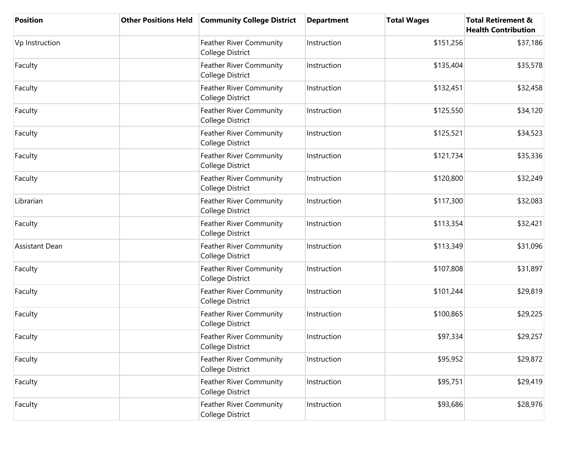| <b>Position</b>       | <b>Other Positions Held</b> | <b>Community College District</b>                  | <b>Department</b> | <b>Total Wages</b> | <b>Total Retirement &amp;</b><br><b>Health Contribution</b> |
|-----------------------|-----------------------------|----------------------------------------------------|-------------------|--------------------|-------------------------------------------------------------|
| Vp Instruction        |                             | Feather River Community<br>College District        | Instruction       | \$151,256          | \$37,186                                                    |
| Faculty               |                             | Feather River Community<br>College District        | Instruction       | \$135,404          | \$35,578                                                    |
| Faculty               |                             | Feather River Community<br>College District        | Instruction       | \$132,451          | \$32,458                                                    |
| Faculty               |                             | Feather River Community<br>College District        | Instruction       | \$125,550          | \$34,120                                                    |
| Faculty               |                             | Feather River Community<br>College District        | Instruction       | \$125,521          | \$34,523                                                    |
| Faculty               |                             | Feather River Community<br>College District        | Instruction       | \$121,734          | \$35,336                                                    |
| Faculty               |                             | Feather River Community<br>College District        | Instruction       | \$120,800          | \$32,249                                                    |
| Librarian             |                             | <b>Feather River Community</b><br>College District | Instruction       | \$117,300          | \$32,083                                                    |
| Faculty               |                             | Feather River Community<br>College District        | Instruction       | \$113,354          | \$32,421                                                    |
| <b>Assistant Dean</b> |                             | Feather River Community<br>College District        | Instruction       | \$113,349          | \$31,096                                                    |
| Faculty               |                             | Feather River Community<br>College District        | Instruction       | \$107,808          | \$31,897                                                    |
| Faculty               |                             | Feather River Community<br>College District        | Instruction       | \$101,244          | \$29,819                                                    |
| Faculty               |                             | Feather River Community<br>College District        | Instruction       | \$100,865          | \$29,225                                                    |
| Faculty               |                             | Feather River Community<br>College District        | Instruction       | \$97,334           | \$29,257                                                    |
| Faculty               |                             | Feather River Community<br>College District        | Instruction       | \$95,952           | \$29,872                                                    |
| Faculty               |                             | Feather River Community<br>College District        | Instruction       | \$95,751           | \$29,419                                                    |
| Faculty               |                             | Feather River Community<br>College District        | Instruction       | \$93,686           | \$28,976                                                    |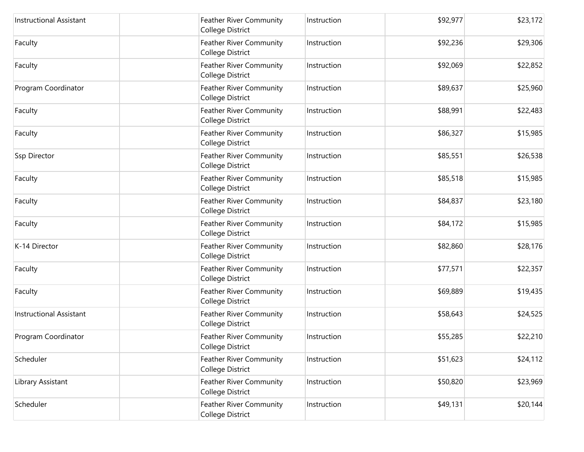| <b>Instructional Assistant</b> | Feather River Community<br>College District        | Instruction | \$92,977 | \$23,172 |
|--------------------------------|----------------------------------------------------|-------------|----------|----------|
| Faculty                        | Feather River Community<br>College District        | Instruction | \$92,236 | \$29,306 |
| Faculty                        | Feather River Community<br>College District        | Instruction | \$92,069 | \$22,852 |
| Program Coordinator            | Feather River Community<br>College District        | Instruction | \$89,637 | \$25,960 |
| Faculty                        | Feather River Community<br>College District        | Instruction | \$88,991 | \$22,483 |
| Faculty                        | Feather River Community<br>College District        | Instruction | \$86,327 | \$15,985 |
| Ssp Director                   | Feather River Community<br>College District        | Instruction | \$85,551 | \$26,538 |
| Faculty                        | Feather River Community<br>College District        | Instruction | \$85,518 | \$15,985 |
| Faculty                        | Feather River Community<br>College District        | Instruction | \$84,837 | \$23,180 |
| Faculty                        | Feather River Community<br>College District        | Instruction | \$84,172 | \$15,985 |
| K-14 Director                  | Feather River Community<br>College District        | Instruction | \$82,860 | \$28,176 |
| Faculty                        | Feather River Community<br>College District        | Instruction | \$77,571 | \$22,357 |
| Faculty                        | Feather River Community<br>College District        | Instruction | \$69,889 | \$19,435 |
| <b>Instructional Assistant</b> | Feather River Community<br>College District        | Instruction | \$58,643 | \$24,525 |
| Program Coordinator            | Feather River Community<br>College District        | Instruction | \$55,285 | \$22,210 |
| Scheduler                      | Feather River Community<br>College District        | Instruction | \$51,623 | \$24,112 |
| Library Assistant              | Feather River Community<br>College District        | Instruction | \$50,820 | \$23,969 |
| Scheduler                      | <b>Feather River Community</b><br>College District | Instruction | \$49,131 | \$20,144 |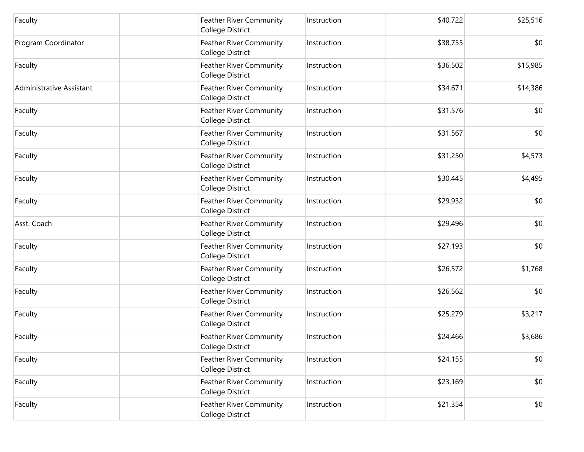| Faculty                  | <b>Feather River Community</b><br>College District | Instruction | \$40,722 | \$25,516     |
|--------------------------|----------------------------------------------------|-------------|----------|--------------|
| Program Coordinator      | Feather River Community<br>College District        | Instruction | \$38,755 | \$0          |
| Faculty                  | Feather River Community<br>College District        | Instruction | \$36,502 | \$15,985     |
| Administrative Assistant | <b>Feather River Community</b><br>College District | Instruction | \$34,671 | \$14,386     |
| Faculty                  | <b>Feather River Community</b><br>College District | Instruction | \$31,576 | \$0          |
| Faculty                  | Feather River Community<br>College District        | Instruction | \$31,567 | \$0          |
| Faculty                  | Feather River Community<br>College District        | Instruction | \$31,250 | \$4,573      |
| Faculty                  | Feather River Community<br>College District        | Instruction | \$30,445 | \$4,495      |
| Faculty                  | <b>Feather River Community</b><br>College District | Instruction | \$29,932 | \$0          |
| Asst. Coach              | Feather River Community<br>College District        | Instruction | \$29,496 | \$0          |
| Faculty                  | Feather River Community<br>College District        | Instruction | \$27,193 | \$0          |
| Faculty                  | Feather River Community<br>College District        | Instruction | \$26,572 | \$1,768      |
| Faculty                  | Feather River Community<br>College District        | Instruction | \$26,562 | \$0          |
| Faculty                  | Feather River Community<br>College District        | Instruction | \$25,279 | \$3,217      |
| Faculty                  | Feather River Community<br>College District        | Instruction | \$24,466 | \$3,686      |
| Faculty                  | Feather River Community<br>College District        | Instruction | \$24,155 | \$0          |
| Faculty                  | Feather River Community<br>College District        | Instruction | \$23,169 | \$0          |
| Faculty                  | Feather River Community<br>College District        | Instruction | \$21,354 | $ 10\rangle$ |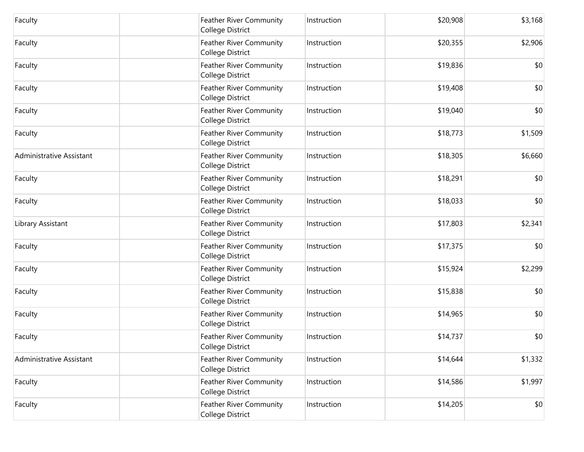| Faculty                  | <b>Feather River Community</b><br>College District | Instruction | \$20,908 | \$3,168 |
|--------------------------|----------------------------------------------------|-------------|----------|---------|
| Faculty                  | Feather River Community<br>College District        | Instruction | \$20,355 | \$2,906 |
| Faculty                  | Feather River Community<br>College District        | Instruction | \$19,836 | \$0     |
| Faculty                  | <b>Feather River Community</b><br>College District | Instruction | \$19,408 | \$0     |
| Faculty                  | <b>Feather River Community</b><br>College District | Instruction | \$19,040 | \$0     |
| Faculty                  | Feather River Community<br>College District        | Instruction | \$18,773 | \$1,509 |
| Administrative Assistant | Feather River Community<br>College District        | Instruction | \$18,305 | \$6,660 |
| Faculty                  | <b>Feather River Community</b><br>College District | Instruction | \$18,291 | \$0     |
| Faculty                  | Feather River Community<br>College District        | Instruction | \$18,033 | \$0     |
| Library Assistant        | Feather River Community<br>College District        | Instruction | \$17,803 | \$2,341 |
| Faculty                  | Feather River Community<br>College District        | Instruction | \$17,375 | \$0     |
| Faculty                  | Feather River Community<br>College District        | Instruction | \$15,924 | \$2,299 |
| Faculty                  | Feather River Community<br>College District        | Instruction | \$15,838 | \$0     |
| Faculty                  | Feather River Community<br>College District        | Instruction | \$14,965 | \$0     |
| Faculty                  | Feather River Community<br>College District        | Instruction | \$14,737 | \$0     |
| Administrative Assistant | Feather River Community<br>College District        | Instruction | \$14,644 | \$1,332 |
| Faculty                  | Feather River Community<br>College District        | Instruction | \$14,586 | \$1,997 |
| Faculty                  | Feather River Community<br>College District        | Instruction | \$14,205 | \$0     |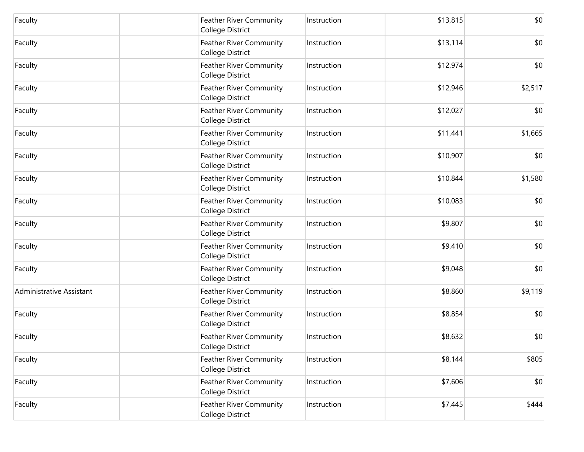| Faculty                  | <b>Feather River Community</b><br>College District | Instruction | \$13,815 | \$0     |
|--------------------------|----------------------------------------------------|-------------|----------|---------|
| Faculty                  | <b>Feather River Community</b><br>College District | Instruction | \$13,114 | \$0     |
| Faculty                  | Feather River Community<br>College District        | Instruction | \$12,974 | \$0     |
| Faculty                  | Feather River Community<br>College District        | Instruction | \$12,946 | \$2,517 |
| Faculty                  | Feather River Community<br>College District        | Instruction | \$12,027 | \$0     |
| Faculty                  | Feather River Community<br>College District        | Instruction | \$11,441 | \$1,665 |
| Faculty                  | <b>Feather River Community</b><br>College District | Instruction | \$10,907 | \$0     |
| Faculty                  | Feather River Community<br>College District        | Instruction | \$10,844 | \$1,580 |
| Faculty                  | <b>Feather River Community</b><br>College District | Instruction | \$10,083 | \$0     |
| Faculty                  | Feather River Community<br>College District        | Instruction | \$9,807  | \$0     |
| Faculty                  | Feather River Community<br>College District        | Instruction | \$9,410  | \$0     |
| Faculty                  | Feather River Community<br>College District        | Instruction | \$9,048  | \$0     |
| Administrative Assistant | Feather River Community<br>College District        | Instruction | \$8,860  | \$9,119 |
| Faculty                  | Feather River Community<br>College District        | Instruction | \$8,854  | \$0     |
| Faculty                  | Feather River Community<br>College District        | Instruction | \$8,632  | \$0     |
| Faculty                  | Feather River Community<br>College District        | Instruction | \$8,144  | \$805   |
| Faculty                  | Feather River Community<br>College District        | Instruction | \$7,606  | \$0     |
| Faculty                  | Feather River Community<br>College District        | Instruction | \$7,445  | \$444   |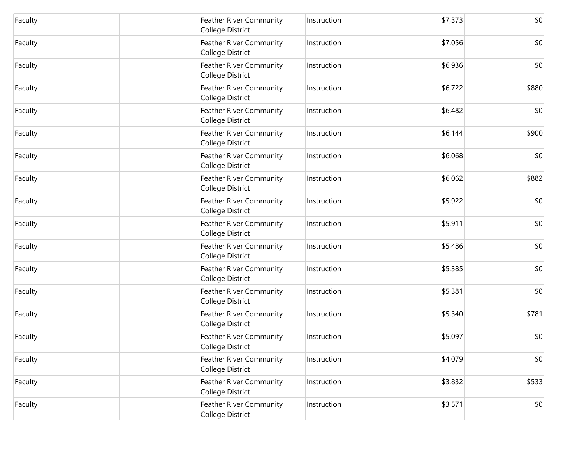| Faculty | <b>Feather River Community</b><br>College District | Instruction | \$7,373 | \$0   |
|---------|----------------------------------------------------|-------------|---------|-------|
| Faculty | Feather River Community<br><b>College District</b> | Instruction | \$7,056 | \$0   |
| Faculty | Feather River Community<br>College District        | Instruction | \$6,936 | \$0   |
| Faculty | Feather River Community<br>College District        | Instruction | \$6,722 | \$880 |
| Faculty | <b>Feather River Community</b><br>College District | Instruction | \$6,482 | \$0   |
| Faculty | Feather River Community<br>College District        | Instruction | \$6,144 | \$900 |
| Faculty | Feather River Community<br>College District        | Instruction | \$6,068 | \$0   |
| Faculty | Feather River Community<br>College District        | Instruction | \$6,062 | \$882 |
| Faculty | Feather River Community<br>College District        | Instruction | \$5,922 | \$0   |
| Faculty | Feather River Community<br>College District        | Instruction | \$5,911 | \$0   |
| Faculty | Feather River Community<br>College District        | Instruction | \$5,486 | \$0   |
| Faculty | Feather River Community<br>College District        | Instruction | \$5,385 | \$0   |
| Faculty | Feather River Community<br>College District        | Instruction | \$5,381 | \$0   |
| Faculty | Feather River Community<br>College District        | Instruction | \$5,340 | \$781 |
| Faculty | Feather River Community<br>College District        | Instruction | \$5,097 | \$0   |
| Faculty | Feather River Community<br>College District        | Instruction | \$4,079 | \$0   |
| Faculty | Feather River Community<br>College District        | Instruction | \$3,832 | \$533 |
| Faculty | Feather River Community<br>College District        | Instruction | \$3,571 | \$0   |